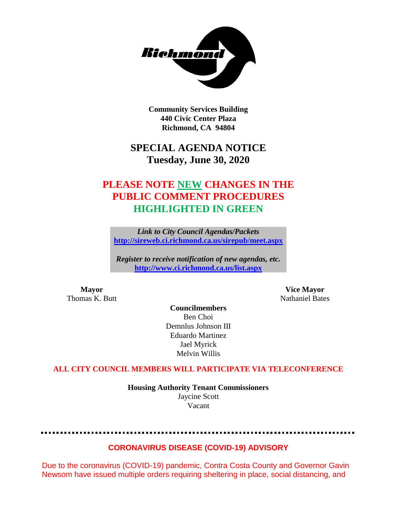

**Community Services Building 440 Civic Center Plaza Richmond, CA 94804**

# **SPECIAL AGENDA NOTICE Tuesday, June 30, 2020**

# **PLEASE NOTE NEW CHANGES IN THE PUBLIC COMMENT PROCEDURES HIGHLIGHTED IN GREEN**

*Link to City Council Agendas/Packets* **<http://sireweb.ci.richmond.ca.us/sirepub/meet.aspx>**

*Register to receive notification of new agendas, etc.* **<http://www.ci.richmond.ca.us/list.aspx>**

**Mayor Vice Mayor** Thomas K. Butt Nathaniel Bates

**Councilmembers** Ben Choi Demnlus Johnson III Eduardo Martinez Jael Myrick Melvin Willis

# **ALL CITY COUNCIL MEMBERS WILL PARTICIPATE VIA TELECONFERENCE**

**Housing Authority Tenant Commissioners** Jaycine Scott Vacant

# **CORONAVIRUS DISEASE (COVID-19) ADVISORY**

Due to the coronavirus (COVID-19) pandemic, Contra Costa County and Governor Gavin Newsom have issued multiple orders requiring sheltering in place, social distancing, and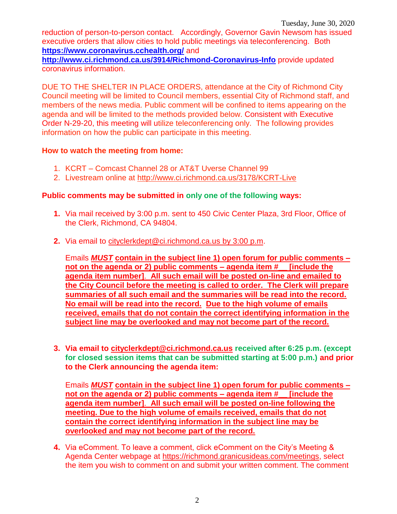reduction of person-to-person contact. Accordingly, Governor Gavin Newsom has issued executive orders that allow cities to hold public meetings via teleconferencing. Both **<https://www.coronavirus.cchealth.org/>** and

**<http://www.ci.richmond.ca.us/3914/Richmond-Coronavirus-Info>** provide updated coronavirus information.

DUE TO THE SHELTER IN PLACE ORDERS, attendance at the City of Richmond City Council meeting will be limited to Council members, essential City of Richmond staff, and members of the news media. Public comment will be confined to items appearing on the agenda and will be limited to the methods provided below. Consistent with Executive Order N-29-20, this meeting will utilize teleconferencing only. The following provides information on how the public can participate in this meeting.

# **How to watch the meeting from home:**

- 1. KCRT Comcast Channel 28 or AT&T Uverse Channel 99
- 2. Livestream online at<http://www.ci.richmond.ca.us/3178/KCRT-Live>

# **Public comments may be submitted in only one of the following ways:**

- **1.** Via mail received by 3:00 p.m. sent to 450 Civic Center Plaza, 3rd Floor, Office of the Clerk, Richmond, CA 94804.
- **2.** Via email to [cityclerkdept@ci.richmond.ca.us](mailto:cityclerkdept@ci.richmond.ca.us) by 3:00 p.m.

Emails *MUST* **contain in the subject line 1) open forum for public comments – not on the agenda or 2) public comments – agenda item #\_\_ [include the agenda item number]**. **All such email will be posted on-line and emailed to the City Council before the meeting is called to order. The Clerk will prepare summaries of all such email and the summaries will be read into the record. No email will be read into the record. Due to the high volume of emails received, emails that do not contain the correct identifying information in the subject line may be overlooked and may not become part of the record.**

**3. Via email to [cityclerkdept@ci.richmond.ca.us](mailto:cityclerkdept@ci.richmond.ca.us) received after 6:25 p.m. (except for closed session items that can be submitted starting at 5:00 p.m.) and prior to the Clerk announcing the agenda item:**

Emails *MUST* **contain in the subject line 1) open forum for public comments – not on the agenda or 2) public comments – agenda item #\_\_ [include the agenda item number]**. **All such email will be posted on-line following the meeting. Due to the high volume of emails received, emails that do not contain the correct identifying information in the subject line may be overlooked and may not become part of the record.**

**4.** Via eComment. To leave a comment, click eComment on the City's Meeting & Agenda Center webpage at [https://richmond.granicusideas.com/meetings,](https://richmond.granicusideas.com/meetings) select the item you wish to comment on and submit your written comment. The comment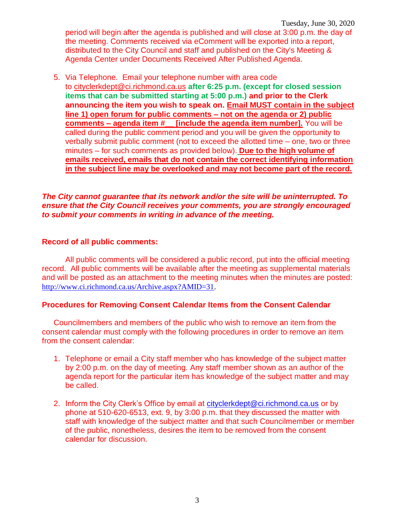Tuesday, June 30, 2020 period will begin after the agenda is published and will close at 3:00 p.m. the day of the meeting. Comments received via eComment will be exported into a report, distributed to the City Council and staff and published on the City's Meeting & Agenda Center under Documents Received After Published Agenda.

5. Via Telephone. Email your telephone number with area code to [cityclerkdept@ci.richmond.ca.us](mailto:cityclerkdept@ci.richmond.ca.us) **after 6:25 p.m. (except for closed session items that can be submitted starting at 5:00 p.m.) and prior to the Clerk announcing the item you wish to speak on. Email MUST contain in the subject line 1) open forum for public comments – not on the agenda or 2) public comments – agenda item #\_\_ [include the agenda item number].** You will be called during the public comment period and you will be given the opportunity to verbally submit public comment (not to exceed the allotted time – one, two or three minutes – for such comments as provided below). **Due to the high volume of emails received, emails that do not contain the correct identifying information in the subject line may be overlooked and may not become part of the record.**

#### *The City cannot guarantee that its network and/or the site will be uninterrupted. To ensure that the City Council receives your comments, you are strongly encouraged to submit your comments in writing in advance of the meeting.*

#### **Record of all public comments:**

All public comments will be considered a public record, put into the official meeting record. All public comments will be available after the meeting as supplemental materials and will be posted as an attachment to the meeting minutes when the minutes are posted: [http://www.ci.richmond.ca.us/Archive.aspx?AMID=31.](http://www.ci.richmond.ca.us/Archive.aspx?AMID=31)

# **Procedures for Removing Consent Calendar Items from the Consent Calendar**

Councilmembers and members of the public who wish to remove an item from the consent calendar must comply with the following procedures in order to remove an item from the consent calendar:

- 1. Telephone or email a City staff member who has knowledge of the subject matter by 2:00 p.m. on the day of meeting. Any staff member shown as an author of the agenda report for the particular item has knowledge of the subject matter and may be called.
- 2. Inform the City Clerk's Office by email at [cityclerkdept@ci.richmond.ca.us](mailto:cityclerkdept@ci.richmond.ca.us) or by phone at 510-620-6513, ext. 9, by 3:00 p.m. that they discussed the matter with staff with knowledge of the subject matter and that such Councilmember or member of the public, nonetheless, desires the item to be removed from the consent calendar for discussion.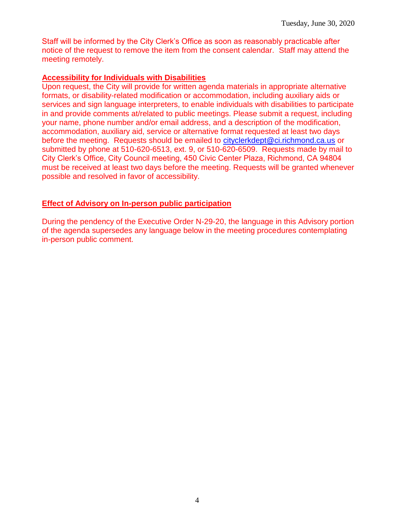Staff will be informed by the City Clerk's Office as soon as reasonably practicable after notice of the request to remove the item from the consent calendar. Staff may attend the meeting remotely.

# **Accessibility for Individuals with Disabilities**

Upon request, the City will provide for written agenda materials in appropriate alternative formats, or disability-related modification or accommodation, including auxiliary aids or services and sign language interpreters, to enable individuals with disabilities to participate in and provide comments at/related to public meetings. Please submit a request, including your name, phone number and/or email address, and a description of the modification, accommodation, auxiliary aid, service or alternative format requested at least two days before the meeting. Requests should be emailed to [cityclerkdept@ci.richmond.ca.us](mailto:cityclerkdept@ci.richmond.ca.us) or submitted by phone at 510-620-6513, ext. 9, or 510-620-6509. Requests made by mail to City Clerk's Office, City Council meeting, 450 Civic Center Plaza, Richmond, CA 94804 must be received at least two days before the meeting. Requests will be granted whenever possible and resolved in favor of accessibility.

# **Effect of Advisory on In-person public participation**

During the pendency of the Executive Order N-29-20, the language in this Advisory portion of the agenda supersedes any language below in the meeting procedures contemplating in-person public comment.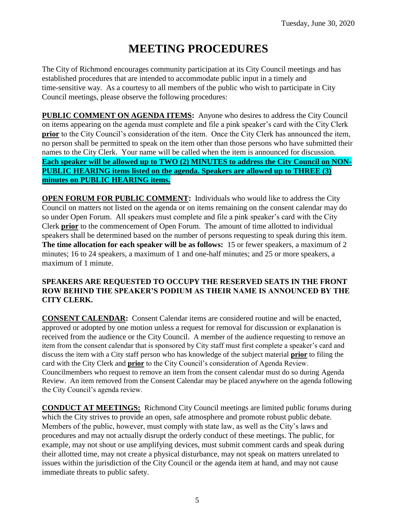# **MEETING PROCEDURES**

The City of Richmond encourages community participation at its City Council meetings and has established procedures that are intended to accommodate public input in a timely and time-sensitive way. As a courtesy to all members of the public who wish to participate in City Council meetings, please observe the following procedures:

**PUBLIC COMMENT ON AGENDA ITEMS:** Anyone who desires to address the City Council on items appearing on the agenda must complete and file a pink speaker's card with the City Clerk **prior** to the City Council's consideration of the item. Once the City Clerk has announced the item, no person shall be permitted to speak on the item other than those persons who have submitted their names to the City Clerk. Your name will be called when the item is announced for discussion. **Each speaker will be allowed up to TWO (2) MINUTES to address the City Council on NON-PUBLIC HEARING items listed on the agenda. Speakers are allowed up to THREE (3) minutes on PUBLIC HEARING items.**

**OPEN FORUM FOR PUBLIC COMMENT:** Individuals who would like to address the City Council on matters not listed on the agenda or on items remaining on the consent calendar may do so under Open Forum. All speakers must complete and file a pink speaker's card with the City Clerk **prior** to the commencement of Open Forum. The amount of time allotted to individual speakers shall be determined based on the number of persons requesting to speak during this item. **The time allocation for each speaker will be as follows:** 15 or fewer speakers, a maximum of 2 minutes; 16 to 24 speakers, a maximum of 1 and one-half minutes; and 25 or more speakers, a maximum of 1 minute.

# **SPEAKERS ARE REQUESTED TO OCCUPY THE RESERVED SEATS IN THE FRONT ROW BEHIND THE SPEAKER'S PODIUM AS THEIR NAME IS ANNOUNCED BY THE CITY CLERK.**

**CONSENT CALENDAR:** Consent Calendar items are considered routine and will be enacted, approved or adopted by one motion unless a request for removal for discussion or explanation is received from the audience or the City Council. A member of the audience requesting to remove an item from the consent calendar that is sponsored by City staff must first complete a speaker's card and discuss the item with a City staff person who has knowledge of the subject material **prior** to filing the card with the City Clerk and **prior** to the City Council's consideration of Agenda Review. Councilmembers who request to remove an item from the consent calendar must do so during Agenda Review. An item removed from the Consent Calendar may be placed anywhere on the agenda following the City Council's agenda review.

**CONDUCT AT MEETINGS:** Richmond City Council meetings are limited public forums during which the City strives to provide an open, safe atmosphere and promote robust public debate. Members of the public, however, must comply with state law, as well as the City's laws and procedures and may not actually disrupt the orderly conduct of these meetings. The public, for example, may not shout or use amplifying devices, must submit comment cards and speak during their allotted time, may not create a physical disturbance, may not speak on matters unrelated to issues within the jurisdiction of the City Council or the agenda item at hand, and may not cause immediate threats to public safety.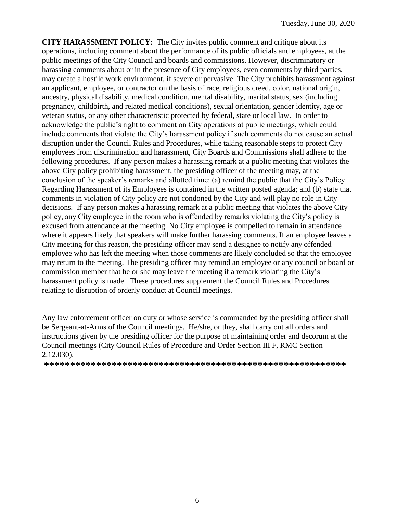**CITY HARASSMENT POLICY:** The City invites public comment and critique about its operations, including comment about the performance of its public officials and employees, at the public meetings of the City Council and boards and commissions. However, discriminatory or harassing comments about or in the presence of City employees, even comments by third parties, may create a hostile work environment, if severe or pervasive. The City prohibits harassment against an applicant, employee, or contractor on the basis of race, religious creed, color, national origin, ancestry, physical disability, medical condition, mental disability, marital status, sex (including pregnancy, childbirth, and related medical conditions), sexual orientation, gender identity, age or veteran status, or any other characteristic protected by federal, state or local law. In order to acknowledge the public's right to comment on City operations at public meetings, which could include comments that violate the City's harassment policy if such comments do not cause an actual disruption under the Council Rules and Procedures, while taking reasonable steps to protect City employees from discrimination and harassment, City Boards and Commissions shall adhere to the following procedures. If any person makes a harassing remark at a public meeting that violates the above City policy prohibiting harassment, the presiding officer of the meeting may, at the conclusion of the speaker's remarks and allotted time: (a) remind the public that the City's Policy Regarding Harassment of its Employees is contained in the written posted agenda; and (b) state that comments in violation of City policy are not condoned by the City and will play no role in City decisions. If any person makes a harassing remark at a public meeting that violates the above City policy, any City employee in the room who is offended by remarks violating the City's policy is excused from attendance at the meeting. No City employee is compelled to remain in attendance where it appears likely that speakers will make further harassing comments. If an employee leaves a City meeting for this reason, the presiding officer may send a designee to notify any offended employee who has left the meeting when those comments are likely concluded so that the employee may return to the meeting. The presiding officer may remind an employee or any council or board or commission member that he or she may leave the meeting if a remark violating the City's harassment policy is made. These procedures supplement the Council Rules and Procedures relating to disruption of orderly conduct at Council meetings.

Any law enforcement officer on duty or whose service is commanded by the presiding officer shall be Sergeant-at-Arms of the Council meetings. He/she, or they, shall carry out all orders and instructions given by the presiding officer for the purpose of maintaining order and decorum at the Council meetings (City Council Rules of Procedure and Order Section III F, RMC Section 2.12.030).

**\*\*\*\*\*\*\*\*\*\*\*\*\*\*\*\*\*\*\*\*\*\*\*\*\*\*\*\*\*\*\*\*\*\*\*\*\*\*\*\*\*\*\*\*\*\*\*\*\*\*\*\*\*\*\*\*\*\***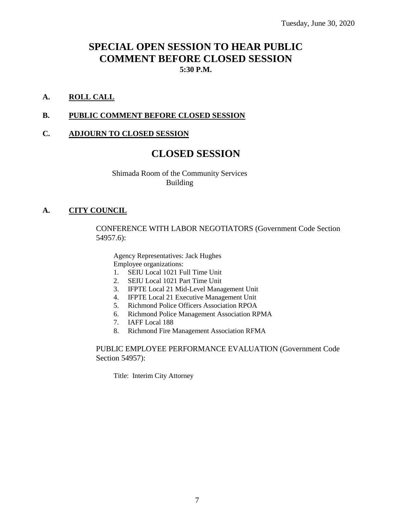# **SPECIAL OPEN SESSION TO HEAR PUBLIC COMMENT BEFORE CLOSED SESSION 5:30 P.M.**

#### **A. ROLL CALL**

#### **B. PUBLIC COMMENT BEFORE CLOSED SESSION**

#### **C. ADJOURN TO CLOSED SESSION**

# **CLOSED SESSION**

Shimada Room of the Community Services Building

#### **A. CITY COUNCIL**

CONFERENCE WITH LABOR NEGOTIATORS (Government Code Section 54957.6):

Agency Representatives: Jack Hughes Employee organizations:

- 1. SEIU Local 1021 Full Time Unit
- 2. SEIU Local 1021 Part Time Unit
- 3. IFPTE Local 21 Mid-Level Management Unit
- 4. IFPTE Local 21 Executive Management Unit
- 5. Richmond Police Officers Association RPOA
- 6. Richmond Police Management Association RPMA
- 7. IAFF Local 188
- 8. Richmond Fire Management Association RFMA

#### PUBLIC EMPLOYEE PERFORMANCE EVALUATION (Government Code Section 54957):

Title: Interim City Attorney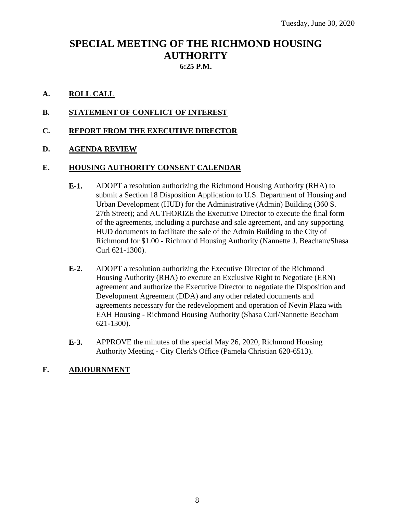# **SPECIAL MEETING OF THE RICHMOND HOUSING AUTHORITY 6:25 P.M.**

# **A. ROLL CALL**

# **B. STATEMENT OF CONFLICT OF INTEREST**

**C. REPORT FROM THE EXECUTIVE DIRECTOR**

# **D. AGENDA REVIEW**

#### **E. HOUSING AUTHORITY CONSENT CALENDAR**

- **E-1.** ADOPT a resolution authorizing the Richmond Housing Authority (RHA) to submit a Section 18 Disposition Application to U.S. Department of Housing and Urban Development (HUD) for the Administrative (Admin) Building (360 S. 27th Street); and AUTHORIZE the Executive Director to execute the final form of the agreements, including a purchase and sale agreement, and any supporting HUD documents to facilitate the sale of the Admin Building to the City of Richmond for \$1.00 - Richmond Housing Authority (Nannette J. Beacham/Shasa Curl 621-1300).
- **E-2.** ADOPT a resolution authorizing the Executive Director of the Richmond Housing Authority (RHA) to execute an Exclusive Right to Negotiate (ERN) agreement and authorize the Executive Director to negotiate the Disposition and Development Agreement (DDA) and any other related documents and agreements necessary for the redevelopment and operation of Nevin Plaza with EAH Housing - Richmond Housing Authority (Shasa Curl/Nannette Beacham 621-1300).
- **E-3.** APPROVE the minutes of the special May 26, 2020, Richmond Housing Authority Meeting - City Clerk's Office (Pamela Christian 620-6513).

# **F. ADJOURNMENT**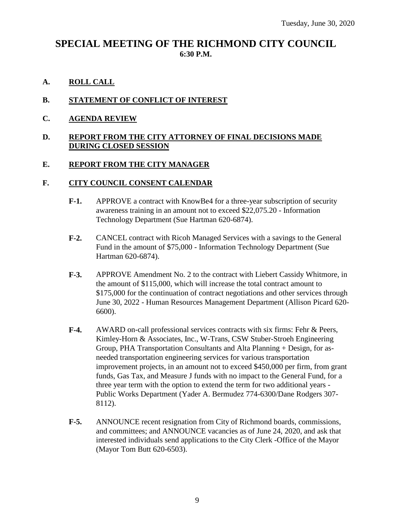# **SPECIAL MEETING OF THE RICHMOND CITY COUNCIL 6:30 P.M.**

**A. ROLL CALL**

# **B. STATEMENT OF CONFLICT OF INTEREST**

**C. AGENDA REVIEW**

# **D. REPORT FROM THE CITY ATTORNEY OF FINAL DECISIONS MADE DURING CLOSED SESSION**

# **E. REPORT FROM THE CITY MANAGER**

# **F. CITY COUNCIL CONSENT CALENDAR**

- **F-1.** APPROVE a contract with KnowBe4 for a three-year subscription of security awareness training in an amount not to exceed \$22,075.20 - Information Technology Department (Sue Hartman 620-6874).
- **F-2.** CANCEL contract with Ricoh Managed Services with a savings to the General Fund in the amount of \$75,000 - Information Technology Department (Sue Hartman 620-6874).
- **F-3.** APPROVE Amendment No. 2 to the contract with Liebert Cassidy Whitmore, in the amount of \$115,000, which will increase the total contract amount to \$175,000 for the continuation of contract negotiations and other services through June 30, 2022 - Human Resources Management Department (Allison Picard 620- 6600).
- **F-4.** AWARD on-call professional services contracts with six firms: Fehr & Peers, Kimley-Horn & Associates, Inc., W-Trans, CSW Stuber-Stroeh Engineering Group, PHA Transportation Consultants and Alta Planning + Design, for asneeded transportation engineering services for various transportation improvement projects, in an amount not to exceed \$450,000 per firm, from grant funds, Gas Tax, and Measure J funds with no impact to the General Fund, for a three year term with the option to extend the term for two additional years - Public Works Department (Yader A. Bermudez 774-6300/Dane Rodgers 307- 8112).
- **F-5.** ANNOUNCE recent resignation from City of Richmond boards, commissions, and committees; and ANNOUNCE vacancies as of June 24, 2020, and ask that interested individuals send applications to the City Clerk -Office of the Mayor (Mayor Tom Butt 620-6503).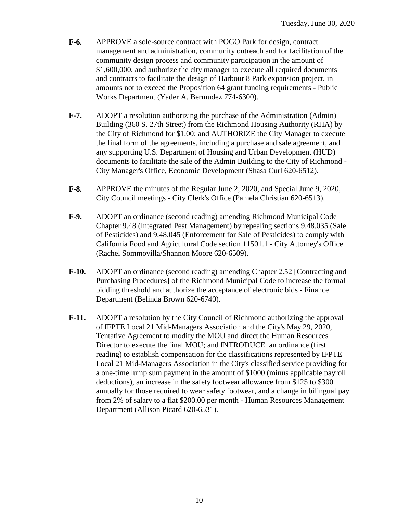- **F-6.** APPROVE a sole-source contract with POGO Park for design, contract management and administration, community outreach and for facilitation of the community design process and community participation in the amount of \$1,600,000, and authorize the city manager to execute all required documents and contracts to facilitate the design of Harbour 8 Park expansion project, in amounts not to exceed the Proposition 64 grant funding requirements - Public Works Department (Yader A. Bermudez 774-6300).
- **F-7.** ADOPT a resolution authorizing the purchase of the Administration (Admin) Building (360 S. 27th Street) from the Richmond Housing Authority (RHA) by the City of Richmond for \$1.00; and AUTHORIZE the City Manager to execute the final form of the agreements, including a purchase and sale agreement, and any supporting U.S. Department of Housing and Urban Development (HUD) documents to facilitate the sale of the Admin Building to the City of Richmond - City Manager's Office, Economic Development (Shasa Curl 620-6512).
- **F-8.** APPROVE the minutes of the Regular June 2, 2020, and Special June 9, 2020, City Council meetings - City Clerk's Office (Pamela Christian 620-6513).
- **F-9.** ADOPT an ordinance (second reading) amending Richmond Municipal Code Chapter 9.48 (Integrated Pest Management) by repealing sections 9.48.035 (Sale of Pesticides) and 9.48.045 (Enforcement for Sale of Pesticides) to comply with California Food and Agricultural Code section 11501.1 - City Attorney's Office (Rachel Sommovilla/Shannon Moore 620-6509).
- **F-10.** ADOPT an ordinance (second reading) amending Chapter 2.52 [Contracting and Purchasing Procedures] of the Richmond Municipal Code to increase the formal bidding threshold and authorize the acceptance of electronic bids - Finance Department (Belinda Brown 620-6740).
- **F-11.** ADOPT a resolution by the City Council of Richmond authorizing the approval of IFPTE Local 21 Mid-Managers Association and the City's May 29, 2020, Tentative Agreement to modify the MOU and direct the Human Resources Director to execute the final MOU; and INTRODUCE an ordinance (first reading) to establish compensation for the classifications represented by IFPTE Local 21 Mid-Managers Association in the City's classified service providing for a one-time lump sum payment in the amount of \$1000 (minus applicable payroll deductions), an increase in the safety footwear allowance from \$125 to \$300 annually for those required to wear safety footwear, and a change in bilingual pay from 2% of salary to a flat \$200.00 per month - Human Resources Management Department (Allison Picard 620-6531).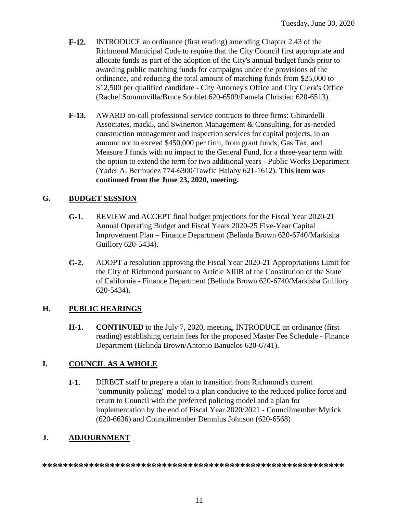- **F-12.** INTRODUCE an ordinance (first reading) amending Chapter 2.43 of the Richmond Municipal Code to require that the City Council first appropriate and allocate funds as part of the adoption of the City's annual budget funds prior to awarding public matching funds for campaigns under the provisions of the ordinance, and reducing the total amount of matching funds from \$25,000 to \$12,500 per qualified candidate - City Attorney's Office and City Clerk's Office (Rachel Sommovilla/Bruce Soublet 620-6509/Pamela Christian 620-6513).
- **F-13.** AWARD on-call professional service contracts to three firms: Ghirardelli Associates, mack5, and Swinerton Management & Consulting, for as-needed construction management and inspection services for capital projects, in an amount not to exceed \$450,000 per firm, from grant funds, Gas Tax, and Measure J funds with no impact to the General Fund, for a three-year term with the option to extend the term for two additional years - Public Works Department (Yader A. Bermudez 774-6300/Tawfic Halaby 621-1612). **This item was continued from the June 23, 2020, meeting.**

# **G. BUDGET SESSION**

- **G-1.** REVIEW and ACCEPT final budget projections for the Fiscal Year 2020-21 Annual Operating Budget and Fiscal Years 2020-25 Five-Year Capital Improvement Plan – Finance Department (Belinda Brown 620-6740/Markisha Guillory 620-5434).
- **G-2.** ADOPT a resolution approving the Fiscal Year 2020-21 Appropriations Limit for the City of Richmond pursuant to Article XIIIB of the Constitution of the State of California - Finance Department (Belinda Brown 620-6740/Markisha Guillory 620-5434).

# **H. PUBLIC HEARINGS**

**H-1. CONTINUED** to the July 7, 2020, meeting, INTRODUCE an ordinance (first reading) establishing certain fees for the proposed Master Fee Schedule - Finance Department (Belinda Brown/Antonio Banuelos 620-6741).

# **I. COUNCIL AS A WHOLE**

**I-1.** DIRECT staff to prepare a plan to transition from Richmond's current "community policing" model to a plan conducive to the reduced police force and return to Council with the preferred policing model and a plan for implementation by the end of Fiscal Year 2020/2021 - Councilmember Myrick (620-6636) and Councilmember Demnlus Johnson (620-6568)

# **J. ADJOURNMENT**

**\*\*\*\*\*\*\*\*\*\*\*\*\*\*\*\*\*\*\*\*\*\*\*\*\*\*\*\*\*\*\*\*\*\*\*\*\*\*\*\*\*\*\*\*\*\*\*\*\*\*\*\*\*\*\*\*\*\***